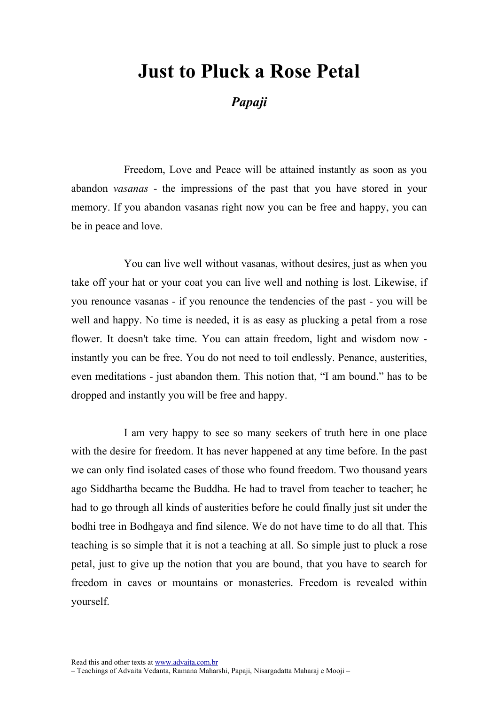## Just to Pluck a Rose Petal

## Papaji

Freedom, Love and Peace will be attained instantly as soon as you abandon vasanas - the impressions of the past that you have stored in your memory. If you abandon vasanas right now you can be free and happy, you can be in peace and love.

You can live well without vasanas, without desires, just as when you take off your hat or your coat you can live well and nothing is lost. Likewise, if you renounce vasanas - if you renounce the tendencies of the past - you will be well and happy. No time is needed, it is as easy as plucking a petal from a rose flower. It doesn't take time. You can attain freedom, light and wisdom now instantly you can be free. You do not need to toil endlessly. Penance, austerities, even meditations - just abandon them. This notion that, "I am bound." has to be dropped and instantly you will be free and happy.

I am very happy to see so many seekers of truth here in one place with the desire for freedom. It has never happened at any time before. In the past we can only find isolated cases of those who found freedom. Two thousand years ago Siddhartha became the Buddha. He had to travel from teacher to teacher; he had to go through all kinds of austerities before he could finally just sit under the bodhi tree in Bodhgaya and find silence. We do not have time to do all that. This teaching is so simple that it is not a teaching at all. So simple just to pluck a rose petal, just to give up the notion that you are bound, that you have to search for freedom in caves or mountains or monasteries. Freedom is revealed within yourself.